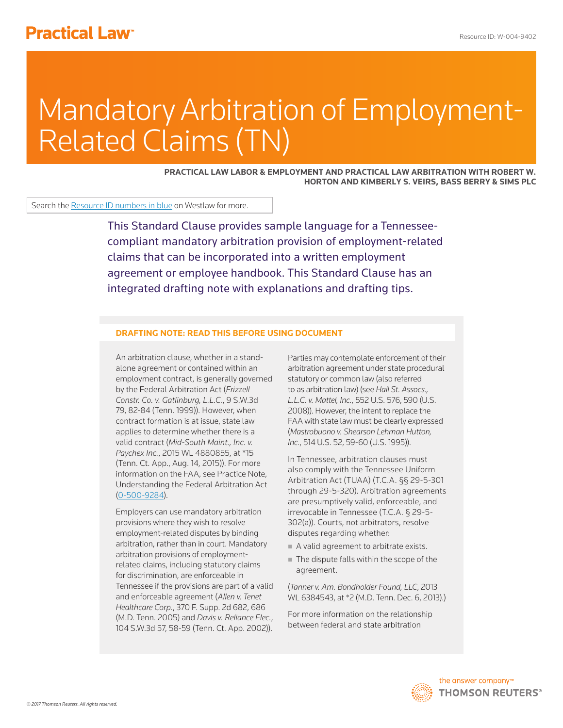# Mandatory Arbitration of Employment-Related Claims (TN)

**PRACTICAL LAW LABOR & EMPLOYMENT AND PRACTICAL LAW ARBITRATION WITH ROBERT W. HORTON AND KIMBERLY S. VEIRS, BASS BERRY & SIMS PLC**

Search the Resource ID numbers in blue on Westlaw for more.

This Standard Clause provides sample language for a Tennesseecompliant mandatory arbitration provision of employment-related claims that can be incorporated into a written employment agreement or employee handbook. This Standard Clause has an integrated drafting note with explanations and drafting tips.

# **DRAFTING NOTE: READ THIS BEFORE USING DOCUMENT**

An arbitration clause, whether in a standalone agreement or contained within an employment contract, is generally governed by the Federal Arbitration Act (*Frizzell Constr. Co. v. Gatlinburg, L.L.C.*, 9 S.W.3d 79, 82-84 (Tenn. 1999)). However, when contract formation is at issue, state law applies to determine whether there is a valid contract (*Mid-South Maint., Inc. v. Paychex Inc.*, 2015 WL 4880855, at \*15 (Tenn. Ct. App., Aug. 14, 2015)). For more information on the FAA, see Practice Note, Understanding the Federal Arbitration Act (0-500-9284).

Employers can use mandatory arbitration provisions where they wish to resolve employment-related disputes by binding arbitration, rather than in court. Mandatory arbitration provisions of employmentrelated claims, including statutory claims for discrimination, are enforceable in Tennessee if the provisions are part of a valid and enforceable agreement (*Allen v. Tenet Healthcare Corp.*, 370 F. Supp. 2d 682, 686 (M.D. Tenn. 2005) and *Davis v. Reliance Elec.*, 104 S.W.3d 57, 58-59 (Tenn. Ct. App. 2002)).

Parties may contemplate enforcement of their arbitration agreement under state procedural statutory or common law (also referred to as arbitration law) (see *Hall St. Assocs., L.L.C. v. Mattel, Inc.*, 552 U.S. 576, 590 (U.S. 2008)). However, the intent to replace the FAA with state law must be clearly expressed (*Mastrobuono v. Shearson Lehman Hutton, Inc.*, 514 U.S. 52, 59-60 (U.S. 1995)).

In Tennessee, arbitration clauses must also comply with the Tennessee Uniform Arbitration Act (TUAA) (T.C.A. §§ 29-5-301 through 29-5-320). Arbitration agreements are presumptively valid, enforceable, and irrevocable in Tennessee (T.C.A. § 29-5- 302(a)). Courts, not arbitrators, resolve disputes regarding whether:

- A valid agreement to arbitrate exists.
- The dispute falls within the scope of the agreement.

(*Tanner v. Am. Bondholder Found, LLC*, 2013 WL 6384543, at \*2 (M.D. Tenn. Dec. 6, 2013).)

For more information on the relationship between federal and state arbitration

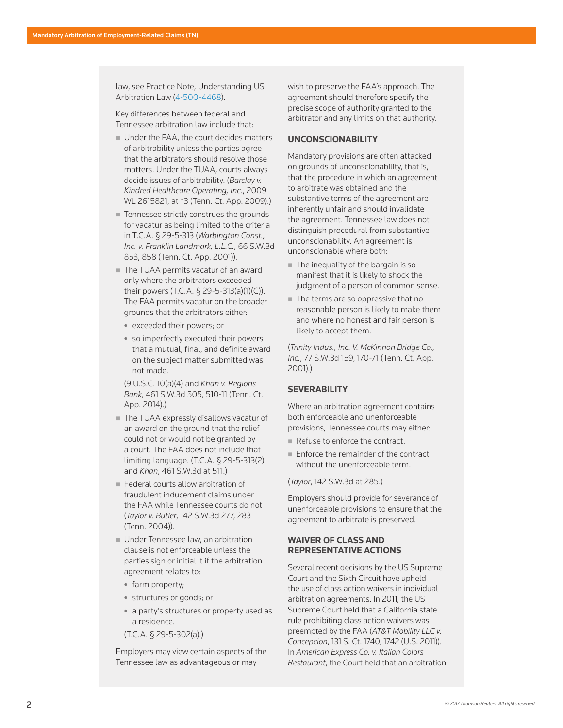law, see Practice Note, Understanding US Arbitration Law (4-500-4468).

Key differences between federal and Tennessee arbitration law include that:

- Under the FAA, the court decides matters of arbitrability unless the parties agree that the arbitrators should resolve those matters. Under the TUAA, courts always decide issues of arbitrability. (*Barclay v. Kindred Healthcare Operating, Inc.*, 2009 WL 2615821, at \*3 (Tenn. Ct. App. 2009).)
- **Tennessee strictly construes the grounds** for vacatur as being limited to the criteria in T.C.A. § 29-5-313 (*Warbington Const., Inc. v. Franklin Landmark, L.L.C.*, 66 S.W.3d 853, 858 (Tenn. Ct. App. 2001)).
- The TUAA permits vacatur of an award only where the arbitrators exceeded their powers (T.C.A. § 29-5-313(a)(1)(C)). The FAA permits vacatur on the broader grounds that the arbitrators either:
	- exceeded their powers; or
	- so imperfectly executed their powers that a mutual, final, and definite award on the subject matter submitted was not made.

(9 U.S.C. 10(a)(4) and *Khan v. Regions Bank*, 461 S.W.3d 505, 510-11 (Tenn. Ct. App. 2014).)

- The TUAA expressly disallows vacatur of an award on the ground that the relief could not or would not be granted by a court. The FAA does not include that limiting language. (T.C.A. § 29-5-313(2) and *Khan*, 461 S.W.3d at 511.)
- **Federal courts allow arbitration of** fraudulent inducement claims under the FAA while Tennessee courts do not (*Taylor v. Butler*, 142 S.W.3d 277, 283 (Tenn. 2004)).
- Under Tennessee law, an arbitration clause is not enforceable unless the parties sign or initial it if the arbitration agreement relates to:
	- $\bullet$  farm property;
	- structures or goods; or
	- a party's structures or property used as a residence.
	- (T.C.A. § 29-5-302(a).)

Employers may view certain aspects of the Tennessee law as advantageous or may

wish to preserve the FAA's approach. The agreement should therefore specify the precise scope of authority granted to the arbitrator and any limits on that authority.

#### **UNCONSCIONABILITY**

Mandatory provisions are often attacked on grounds of unconscionability, that is, that the procedure in which an agreement to arbitrate was obtained and the substantive terms of the agreement are inherently unfair and should invalidate the agreement. Tennessee law does not distinguish procedural from substantive unconscionability. An agreement is unconscionable where both:

- $\blacksquare$  The inequality of the bargain is so manifest that it is likely to shock the judgment of a person of common sense.
- The terms are so oppressive that no reasonable person is likely to make them and where no honest and fair person is likely to accept them.

(*Trinity Indus., Inc. V. McKinnon Bridge Co., Inc.*, 77 S.W.3d 159, 170-71 (Tenn. Ct. App. 2001).)

# **SEVERABILITY**

Where an arbitration agreement contains both enforceable and unenforceable provisions, Tennessee courts may either:

- Refuse to enforce the contract.
- **Enforce the remainder of the contract** without the unenforceable term.

(*Taylor*, 142 S.W.3d at 285.)

Employers should provide for severance of unenforceable provisions to ensure that the agreement to arbitrate is preserved.

# **WAIVER OF CLASS AND REPRESENTATIVE ACTIONS**

Several recent decisions by the US Supreme Court and the Sixth Circuit have upheld the use of class action waivers in individual arbitration agreements. In 2011, the US Supreme Court held that a California state rule prohibiting class action waivers was preempted by the FAA (*AT&T Mobility LLC v. Concepcion*, 131 S. Ct. 1740, 1742 (U.S. 2011)). In *American Express Co. v. Italian Colors Restaurant*, the Court held that an arbitration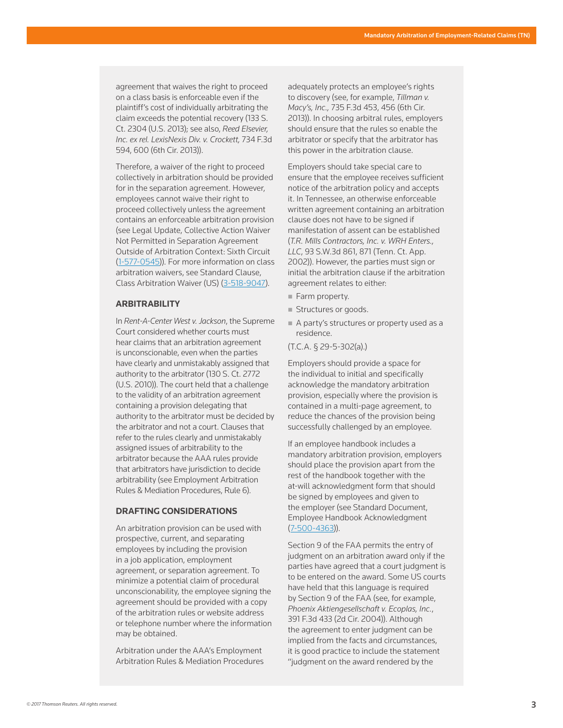agreement that waives the right to proceed on a class basis is enforceable even if the plaintiff's cost of individually arbitrating the claim exceeds the potential recovery (133 S. Ct. 2304 (U.S. 2013); see also, *Reed Elsevier, Inc. ex rel. LexisNexis Div. v. Crockett,* 734 F.3d 594, 600 (6th Cir. 2013)).

Therefore, a waiver of the right to proceed collectively in arbitration should be provided for in the separation agreement. However, employees cannot waive their right to proceed collectively unless the agreement contains an enforceable arbitration provision (see Legal Update, Collective Action Waiver Not Permitted in Separation Agreement Outside of Arbitration Context: Sixth Circuit (1-577-0545)). For more information on class arbitration waivers, see Standard Clause, Class Arbitration Waiver (US) (3-518-9047).

## **ARBITRABILITY**

In *Rent-A-Center West v. Jackson*, the Supreme Court considered whether courts must hear claims that an arbitration agreement is unconscionable, even when the parties have clearly and unmistakably assigned that authority to the arbitrator (130 S. Ct. 2772 (U.S. 2010)). The court held that a challenge to the validity of an arbitration agreement containing a provision delegating that authority to the arbitrator must be decided by the arbitrator and not a court. Clauses that refer to the rules clearly and unmistakably assigned issues of arbitrability to the arbitrator because the AAA rules provide that arbitrators have jurisdiction to decide arbitrability (see Employment Arbitration Rules & Mediation Procedures, Rule 6).

## **DRAFTING CONSIDERATIONS**

An arbitration provision can be used with prospective, current, and separating employees by including the provision in a job application, employment agreement, or separation agreement. To minimize a potential claim of procedural unconscionability, the employee signing the agreement should be provided with a copy of the arbitration rules or website address or telephone number where the information may be obtained.

Arbitration under the AAA's Employment Arbitration Rules & Mediation Procedures adequately protects an employee's rights to discovery (see, for example, *Tillman v. Macy's, Inc.,* 735 F.3d 453, 456 (6th Cir. 2013)). In choosing arbitral rules, employers should ensure that the rules so enable the arbitrator or specify that the arbitrator has this power in the arbitration clause.

Employers should take special care to ensure that the employee receives sufficient notice of the arbitration policy and accepts it. In Tennessee, an otherwise enforceable written agreement containing an arbitration clause does not have to be signed if manifestation of assent can be established (*T.R. Mills Contractors, Inc. v. WRH Enters., LLC*, 93 S.W.3d 861, 871 (Tenn. Ct. App. 2002)). However, the parties must sign or initial the arbitration clause if the arbitration agreement relates to either:

- Farm property.
- Structures or goods.
- A party's structures or property used as a residence.
- (T.C.A. § 29-5-302(a).)

Employers should provide a space for the individual to initial and specifically acknowledge the mandatory arbitration provision, especially where the provision is contained in a multi-page agreement, to reduce the chances of the provision being successfully challenged by an employee.

If an employee handbook includes a mandatory arbitration provision, employers should place the provision apart from the rest of the handbook together with the at-will acknowledgment form that should be signed by employees and given to the employer (see Standard Document, Employee Handbook Acknowledgment (7-500-4363)).

Section 9 of the FAA permits the entry of judgment on an arbitration award only if the parties have agreed that a court judgment is to be entered on the award. Some US courts have held that this language is required by Section 9 of the FAA (see, for example, *Phoenix Aktiengesellschaft v. Ecoplas, Inc.*, 391 F.3d 433 (2d Cir. 2004)). Although the agreement to enter judgment can be implied from the facts and circumstances, it is good practice to include the statement "judgment on the award rendered by the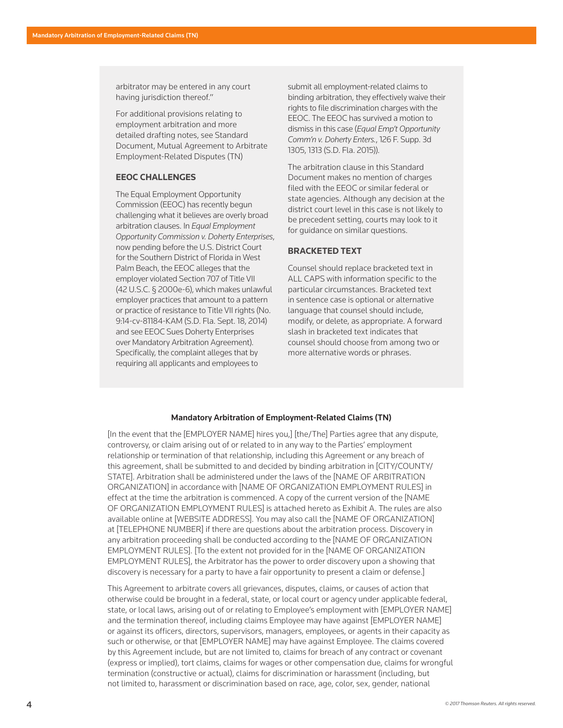arbitrator may be entered in any court having jurisdiction thereof."

For additional provisions relating to employment arbitration and more detailed drafting notes, see Standard Document, Mutual Agreement to Arbitrate Employment-Related Disputes (TN)

#### **EEOC CHALLENGES**

The Equal Employment Opportunity Commission (EEOC) has recently begun challenging what it believes are overly broad arbitration clauses. In *Equal Employment Opportunity Commission v. Doherty Enterprises*, now pending before the U.S. District Court for the Southern District of Florida in West Palm Beach, the EEOC alleges that the employer violated Section 707 of Title VII (42 U.S.C. § 2000e-6), which makes unlawful employer practices that amount to a pattern or practice of resistance to Title VII rights (No. 9:14-cv-81184-KAM (S.D. Fla. Sept. 18, 2014) and see EEOC Sues Doherty Enterprises over Mandatory Arbitration Agreement). Specifically, the complaint alleges that by requiring all applicants and employees to

submit all employment-related claims to binding arbitration, they effectively waive their rights to file discrimination charges with the EEOC. The EEOC has survived a motion to dismiss in this case (*Equal Emp't Opportunity Comm'n v. Doherty Enters.*, 126 F. Supp. 3d 1305, 1313 (S.D. Fla. 2015)).

The arbitration clause in this Standard Document makes no mention of charges filed with the EEOC or similar federal or state agencies. Although any decision at the district court level in this case is not likely to be precedent setting, courts may look to it for guidance on similar questions.

#### **BRACKETED TEXT**

Counsel should replace bracketed text in ALL CAPS with information specific to the particular circumstances. Bracketed text in sentence case is optional or alternative language that counsel should include, modify, or delete, as appropriate. A forward slash in bracketed text indicates that counsel should choose from among two or more alternative words or phrases.

#### Mandatory Arbitration of Employment-Related Claims (TN)

[In the event that the [EMPLOYER NAME] hires you,] [the/The] Parties agree that any dispute, controversy, or claim arising out of or related to in any way to the Parties' employment relationship or termination of that relationship, including this Agreement or any breach of this agreement, shall be submitted to and decided by binding arbitration in [CITY/COUNTY/ STATE]. Arbitration shall be administered under the laws of the [NAME OF ARBITRATION ORGANIZATION] in accordance with [NAME OF ORGANIZATION EMPLOYMENT RULES] in effect at the time the arbitration is commenced. A copy of the current version of the [NAME OF ORGANIZATION EMPLOYMENT RULES] is attached hereto as Exhibit A. The rules are also available online at [WEBSITE ADDRESS]. You may also call the [NAME OF ORGANIZATION] at [TELEPHONE NUMBER] if there are questions about the arbitration process. Discovery in any arbitration proceeding shall be conducted according to the [NAME OF ORGANIZATION EMPLOYMENT RULES]. [To the extent not provided for in the [NAME OF ORGANIZATION EMPLOYMENT RULES], the Arbitrator has the power to order discovery upon a showing that discovery is necessary for a party to have a fair opportunity to present a claim or defense.]

This Agreement to arbitrate covers all grievances, disputes, claims, or causes of action that otherwise could be brought in a federal, state, or local court or agency under applicable federal, state, or local laws, arising out of or relating to Employee's employment with [EMPLOYER NAME] and the termination thereof, including claims Employee may have against [EMPLOYER NAME] or against its officers, directors, supervisors, managers, employees, or agents in their capacity as such or otherwise, or that [EMPLOYER NAME] may have against Employee. The claims covered by this Agreement include, but are not limited to, claims for breach of any contract or covenant (express or implied), tort claims, claims for wages or other compensation due, claims for wrongful termination (constructive or actual), claims for discrimination or harassment (including, but not limited to, harassment or discrimination based on race, age, color, sex, gender, national